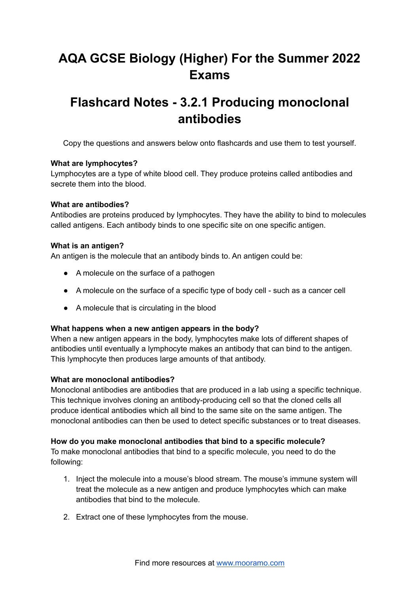# **AQA GCSE Biology (Higher) For the Summer 2022 Exams**

## **Flashcard Notes - 3.2.1 Producing monoclonal antibodies**

Copy the questions and answers below onto flashcards and use them to test yourself.

### **What are lymphocytes?**

Lymphocytes are a type of white blood cell. They produce proteins called antibodies and secrete them into the blood.

#### **What are antibodies?**

Antibodies are proteins produced by lymphocytes. They have the ability to bind to molecules called antigens. Each antibody binds to one specific site on one specific antigen.

#### **What is an antigen?**

An antigen is the molecule that an antibody binds to. An antigen could be:

- A molecule on the surface of a pathogen
- A molecule on the surface of a specific type of body cell such as a cancer cell
- A molecule that is circulating in the blood

#### **What happens when a new antigen appears in the body?**

When a new antigen appears in the body, lymphocytes make lots of different shapes of antibodies until eventually a lymphocyte makes an antibody that can bind to the antigen. This lymphocyte then produces large amounts of that antibody.

#### **What are monoclonal antibodies?**

Monoclonal antibodies are antibodies that are produced in a lab using a specific technique. This technique involves cloning an antibody-producing cell so that the cloned cells all produce identical antibodies which all bind to the same site on the same antigen. The monoclonal antibodies can then be used to detect specific substances or to treat diseases.

#### **How do you make monoclonal antibodies that bind to a specific molecule?**

To make monoclonal antibodies that bind to a specific molecule, you need to do the following:

- 1. Inject the molecule into a mouse's blood stream. The mouse's immune system will treat the molecule as a new antigen and produce lymphocytes which can make antibodies that bind to the molecule.
- 2. Extract one of these lymphocytes from the mouse.